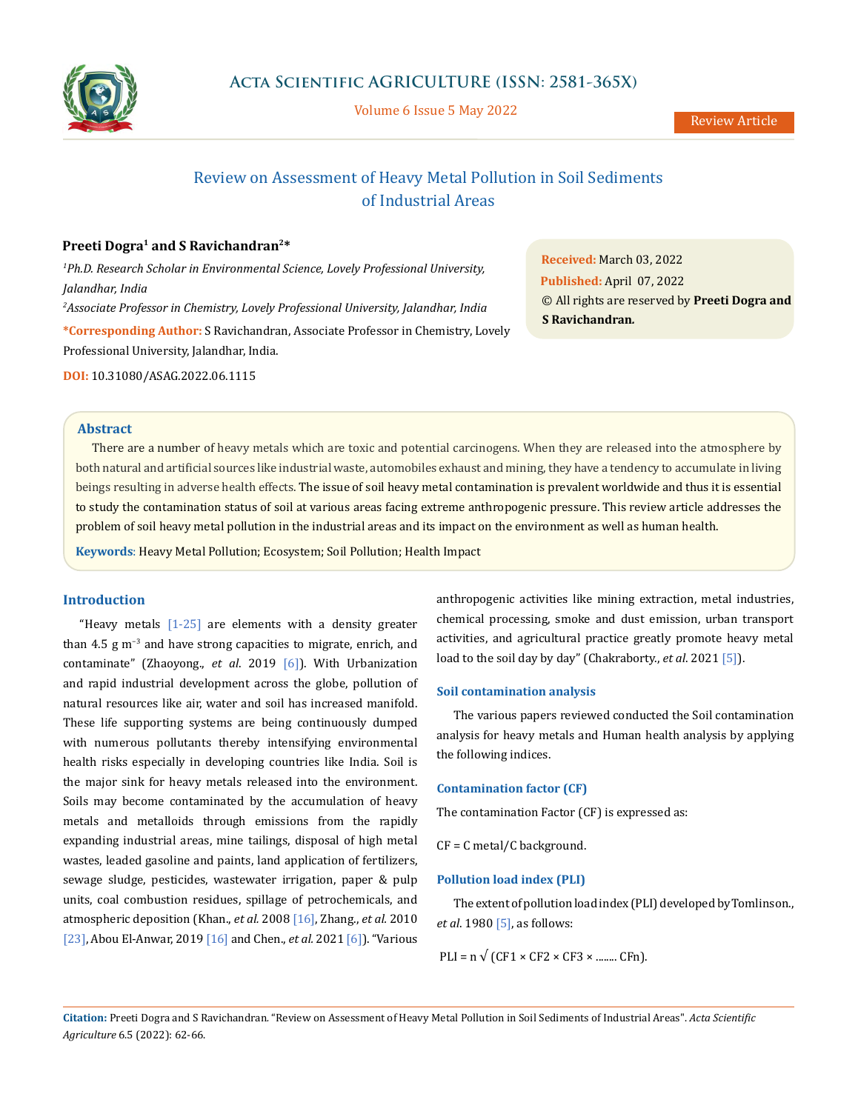

Volume 6 Issue 5 May 2022

# Review on Assessment of Heavy Metal Pollution in Soil Sediments of Industrial Areas

# **Preeti Dogra1 and S Ravichandran2\***

Professional University, Jalandhar, India.

*1 Ph.D. Research Scholar in Environmental Science, Lovely Professional University, Jalandhar, India 2 Associate Professor in Chemistry, Lovely Professional University, Jalandhar, India* **\*Corresponding Author:** S Ravichandran, Associate Professor in Chemistry, Lovely

**Received:** March 03, 2022 **Published:** April 07, 2022 © All rights are reserved by **Preeti Dogra and S Ravichandran***.*

**DOI:** [10.31080/ASAG.2022.06.1115](http://actascientific.com/ASAG/pdf/ASAG-06-1135.pdf)

# **Abstract**

There are a number of heavy metals which are toxic and potential carcinogens. When they are released into the atmosphere by both natural and artificial sources like industrial waste, automobiles exhaust and mining, they have a tendency to accumulate in living beings resulting in adverse health effects. The issue of soil heavy metal contamination is prevalent worldwide and thus it is essential to study the contamination status of soil at various areas facing extreme anthropogenic pressure. This review article addresses the problem of soil heavy metal pollution in the industrial areas and its impact on the environment as well as human health.

**Keywords**: Heavy Metal Pollution; Ecosystem; Soil Pollution; Health Impact

# **Introduction**

"Heavy metals  $[1-25]$  are elements with a density greater than 4.5 g m−3 and have strong capacities to migrate, enrich, and contaminate" (Zhaoyong., *et al*. 2019 [6]). With Urbanization and rapid industrial development across the globe, pollution of natural resources like air, water and soil has increased manifold. These life supporting systems are being continuously dumped with numerous pollutants thereby intensifying environmental health risks especially in developing countries like India. Soil is the major sink for heavy metals released into the environment. Soils may become contaminated by the accumulation of heavy metals and metalloids through emissions from the rapidly expanding industrial areas, mine tailings, disposal of high metal wastes, leaded gasoline and paints, land application of fertilizers, sewage sludge, pesticides, wastewater irrigation, paper & pulp units, coal combustion residues, spillage of petrochemicals, and atmospheric deposition (Khan., *et al.* 2008 [16], Zhang., *et al.* 2010 [23], Abou El-Anwar, 2019 [16] and Chen., *et al.* 2021 [6]). "Various anthropogenic activities like mining extraction, metal industries, chemical processing, smoke and dust emission, urban transport activities, and agricultural practice greatly promote heavy metal load to the soil day by day" (Chakraborty., *et al*. 2021 [5]).

# **Soil contamination analysis**

The various papers reviewed conducted the Soil contamination analysis for heavy metals and Human health analysis by applying the following indices.

# **Contamination factor (CF)**

The contamination Factor (CF) is expressed as:

CF = C metal/C background.

# **Pollution load index (PLI)**

The extent of pollution load index (PLI) developed by Tomlinson., *et al*. 1980 [5], as follows:

 $PLI = n \sqrt{(CF1 \times CF2 \times CF3 \times ... \times CFn)}$ .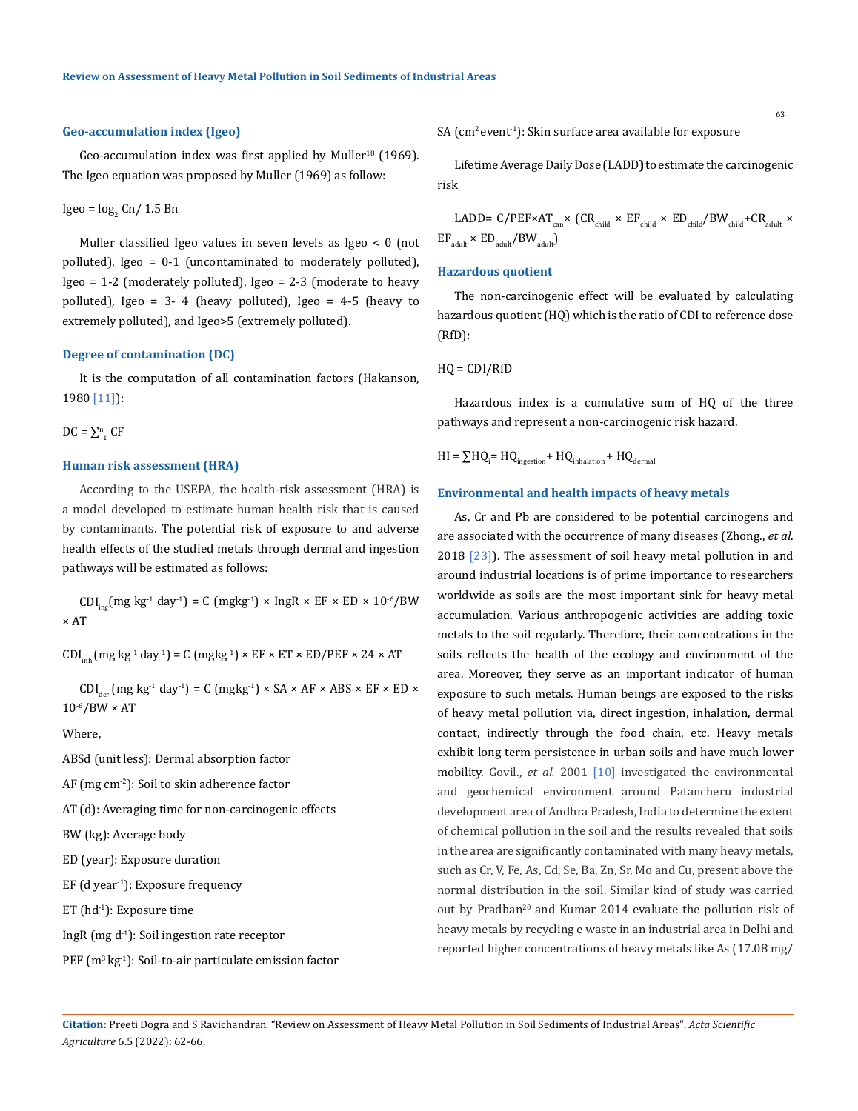#### **Geo-accumulation index (Igeo)**

Geo-accumulation index was first applied by Muller<sup>18</sup> (1969). The Igeo equation was proposed by Muller (1969) as follow:

$$
Igeo = \log_2 Cn / 1.5 Bn
$$

Muller classified Igeo values in seven levels as Igeo < 0 (not polluted), Igeo = 0-1 (uncontaminated to moderately polluted), Igeo = 1-2 (moderately polluted), Igeo = 2-3 (moderate to heavy polluted), Igeo = 3- 4 (heavy polluted), Igeo = 4-5 (heavy to extremely polluted), and Igeo>5 (extremely polluted).

# **Degree of contamination (DC)**

It is the computation of all contamination factors (Hakanson, 1980 [11]):

# $DC = \sum_{1}^{n} CF$

### **Human risk assessment (HRA)**

According to the USEPA, the health-risk assessment (HRA) is a model developed to estimate human health risk that is caused by contaminants. The potential risk of exposure to and adverse health effects of the studied metals through dermal and ingestion pathways will be estimated as follows:

 $CDI_{inc}(mg \, kg^{-1} \, day^{-1}) = C \, (mgkg^{-1}) \times IngR \times EF \times ED \times 10^{-6}/BW$ × AT

 $CDI_{\text{inh}}$  (mg kg<sup>-1</sup> day<sup>-1</sup>) = C (mgkg<sup>-1</sup>) × EF × ET × ED/PEF × 24 × AT

 $CDI_{\text{der}}$  (mg kg<sup>-1</sup> day<sup>-1</sup>) = C (mgkg<sup>-1</sup>) × SA × AF × ABS × EF × ED ×  $10^{-6}/BW \times AT$ 

Where,

ABSd (unit less): Dermal absorption factor

AF (mg cm-2): Soil to skin adherence factor

AT (d): Averaging time for non-carcinogenic effects

BW (kg): Average body

ED (year): Exposure duration

EF (d year<sup>-1</sup>): Exposure frequency

ET (hd<sup>-1</sup>): Exposure time

IngR (mg d-1): Soil ingestion rate receptor

PEF (m<sup>3</sup> kg<sup>-1</sup>): Soil-to-air particulate emission factor

SA (cm<sup>2</sup> event<sup>-1</sup>): Skin surface area available for exposure

Lifetime Average Daily Dose (LADD**)** to estimate the carcinogenic risk

LADD=  $C/PEF \times AT_{can} \times (CR_{child} \times EF_{child} \times ED_{child}/BW_{child} + CR_{adult} \times$  $EF_{\text{adult}} \times ED_{\text{adult}}/BW_{\text{adult}}$ 

#### **Hazardous quotient**

The non-carcinogenic effect will be evaluated by calculating hazardous quotient (HQ) which is the ratio of CDI to reference dose (RfD):

# HQ = CDI/RfD

Hazardous index is a cumulative sum of HQ of the three pathways and represent a non-carcinogenic risk hazard.

 $H I = \sum H Q_i = H Q_{ingestion} + H Q_{inhalation} + H Q_{dermal}$ 

# **Environmental and health impacts of heavy metals**

As, Cr and Pb are considered to be potential carcinogens and are associated with the occurrence of many diseases (Zhong., *et al*. 2018 [23]). The assessment of soil heavy metal pollution in and around industrial locations is of prime importance to researchers worldwide as soils are the most important sink for heavy metal accumulation. Various anthropogenic activities are adding toxic metals to the soil regularly. Therefore, their concentrations in the soils reflects the health of the ecology and environment of the area. Moreover, they serve as an important indicator of human exposure to such metals. Human beings are exposed to the risks of heavy metal pollution via, direct ingestion, inhalation, dermal contact, indirectly through the food chain, etc. Heavy metals exhibit long term persistence in urban soils and have much lower mobility. Govil., *et al.* 2001 [10] investigated the environmental and geochemical environment around Patancheru industrial development area of Andhra Pradesh, India to determine the extent of chemical pollution in the soil and the results revealed that soils in the area are significantly contaminated with many heavy metals, such as Cr, V, Fe, As, Cd, Se, Ba, Zn, Sr, Mo and Cu, present above the normal distribution in the soil. Similar kind of study was carried out by Pradhan<sup>20</sup> and Kumar 2014 evaluate the pollution risk of heavy metals by recycling e waste in an industrial area in Delhi and reported higher concentrations of heavy metals like As (17.08 mg/

**Citation:** Preeti Dogra and S Ravichandran*.* "Review on Assessment of Heavy Metal Pollution in Soil Sediments of Industrial Areas". *Acta Scientific Agriculture* 6.5 (2022): 62-66.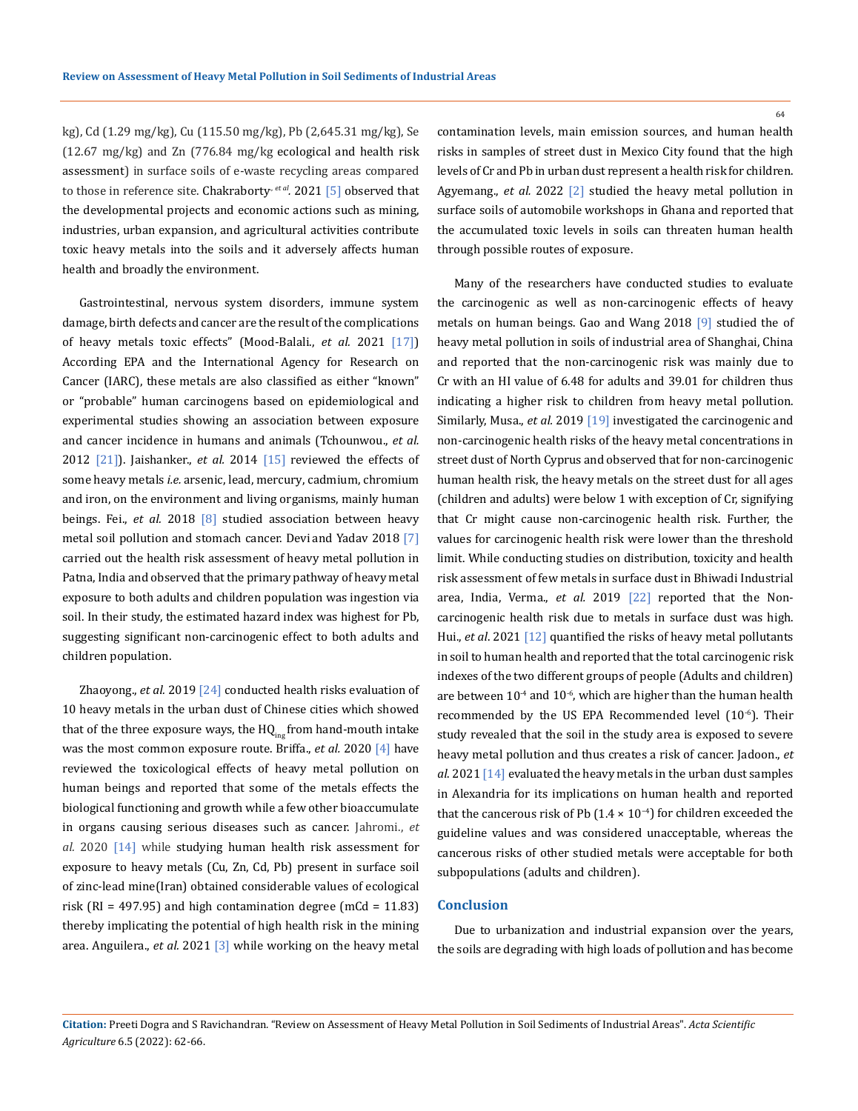kg), Cd (1.29 mg/kg), Cu (115.50 mg/kg), Pb (2,645.31 mg/kg), Se (12.67 mg/kg) and Zn (776.84 mg/kg ecological and health risk assessment) in surface soils of e-waste recycling areas compared to those in reference site. Chakraborty<sup>, et al</sup>. 2021 [5] observed that the developmental projects and economic actions such as mining, industries, urban expansion, and agricultural activities contribute toxic heavy metals into the soils and it adversely affects human health and broadly the environment.

Gastrointestinal, nervous system disorders, immune system damage, birth defects and cancer are the result of the complications of heavy metals toxic effects" (Mood-Balali., *et al.* 2021 [17]) According EPA and the International Agency for Research on Cancer (IARC), these metals are also classified as either "known" or "probable" human carcinogens based on epidemiological and experimental studies showing an association between exposure and cancer incidence in humans and animals [\(Tchounwou](https://www.ncbi.nlm.nih.gov/pubmed/?term=Tchounwou%20PB%5BAuthor%5D&cauthor=true&cauthor_uid=22945569)., *et al.* 2012 [21]). Jaishanker., *et al.* 2014 [15] reviewed the effects of some heavy metals *i.e.* arsenic, lead, mercury, cadmium, chromium and iron, on the environment and living organisms, mainly human beings. Fei., *et al.* 2018 [8] studied association between heavy metal soil pollution and stomach cancer. Devi and Yadav 2018 [7] carried out the health risk assessment of heavy metal pollution in Patna, India and observed that the primary pathway of heavy metal exposure to both adults and children population was ingestion via soil. In their study, the estimated hazard index was highest for Pb, suggesting significant non-carcinogenic effect to both adults and children population.

Zhaoyong., *et al.* 2019 [24] conducted health risks evaluation of 10 heavy metals in the urban dust of Chinese cities which showed that of the three exposure ways, the  $HQ_{\text{inc}}$  from hand-mouth intake was the most common exposure route. Briffa., *et al.* 2020 [4] have reviewed the toxicological effects of heavy metal pollution on human beings and reported that some of the metals effects the biological functioning and growth while a few other bioaccumulate in organs causing serious diseases such as cancer. Jahromi., *et al.* 2020 [14] while studying human health risk assessment for exposure to heavy metals (Cu, Zn, Cd, Pb) present in surface soil of zinc-lead mine(Iran) obtained considerable values of ecological risk (RI = 497.95) and high contamination degree (mCd =  $11.83$ ) thereby implicating the potential of high health risk in the mining area. Anguilera., *et al.* 2021 [3] while working on the heavy metal

contamination levels, main emission sources, and human health risks in samples of street dust in Mexico City found that the high levels of Cr and Pb in urban dust represent a health risk for children. Agyemang., *et al.* 2022 [2] studied the heavy metal pollution in surface soils of automobile workshops in Ghana and reported that the accumulated toxic levels in soils can threaten human health through possible routes of exposure.

Many of the researchers have conducted studies to evaluate the carcinogenic as well as non-carcinogenic effects of heavy metals on human beings. Gao and Wang 2018 [9] studied the of heavy metal pollution in soils of industrial area of Shanghai, China and reported that the non-carcinogenic risk was mainly due to Cr with an HI value of 6.48 for adults and 39.01 for children thus indicating a higher risk to children from heavy metal pollution. Similarly, Musa., *et al.* 2019 [19] investigated the carcinogenic and non-carcinogenic health risks of the heavy metal concentrations in street dust of North Cyprus and observed that for non-carcinogenic human health risk, the heavy metals on the street dust for all ages (children and adults) were below 1 with exception of Cr, signifying that Cr might cause non-carcinogenic health risk. Further, the values for carcinogenic health risk were lower than the threshold limit. While conducting studies on distribution, toxicity and health risk assessment of few metals in surface dust in Bhiwadi Industrial area, India, Verma., *et al.* 2019 [22] reported that the Noncarcinogenic health risk due to metals in surface dust was high. Hui., *et al*. 2021 [12] quantified the risks of heavy metal pollutants in soil to human health and reported that the total carcinogenic risk indexes of the two different groups of people (Adults and children) are between  $10^{-4}$  and  $10^{-6}$ , which are higher than the human health recommended by the US EPA Recommended level (10<sup>-6</sup>). Their study revealed that the soil in the study area is exposed to severe heavy metal pollution and thus creates a risk of cancer. Jadoon., *et al*. 2021 [14] evaluated the heavy metals in the urban dust samples in Alexandria for its implications on human health and reported that the cancerous risk of Pb (1.4  $\times$  10<sup>-4</sup>) for children exceeded the guideline values and was considered unacceptable, whereas the cancerous risks of other studied metals were acceptable for both subpopulations (adults and children).

# **Conclusion**

Due to urbanization and industrial expansion over the years, the soils are degrading with high loads of pollution and has become

64

**Citation:** Preeti Dogra and S Ravichandran*.* "Review on Assessment of Heavy Metal Pollution in Soil Sediments of Industrial Areas". *Acta Scientific Agriculture* 6.5 (2022): 62-66.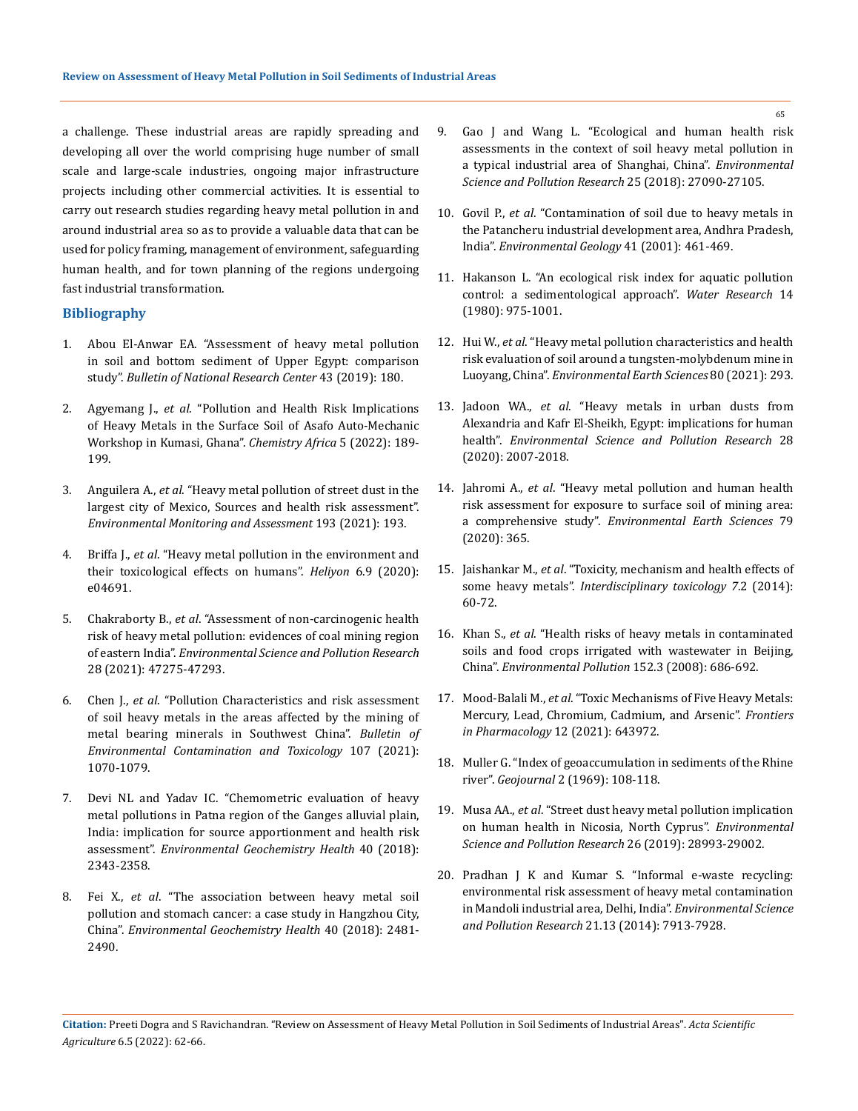a challenge. These industrial areas are rapidly spreading and developing all over the world comprising huge number of small scale and large-scale industries, ongoing major infrastructure projects including other commercial activities. It is essential to carry out research studies regarding heavy metal pollution in and around industrial area so as to provide a valuable data that can be used for policy framing, management of environment, safeguarding human health, and for town planning of the regions undergoing fast industrial transformation.

# **Bibliography**

- 1. [Abou El-Anwar EA. "Assessment of heavy metal pollution](https://bnrc.springeropen.com/articles/10.1186/s42269-019-0233-4)  [in soil and bottom sediment of Upper Egypt: comparison](https://bnrc.springeropen.com/articles/10.1186/s42269-019-0233-4)  study". *[Bulletin of National Research Center](https://bnrc.springeropen.com/articles/10.1186/s42269-019-0233-4)* 43 (2019): 180.
- 2. Agyemang J., *et al*[. "Pollution and Health Risk Implications](https://link.springer.com/article/10.1007/s42250-021-00297-x)  [of Heavy Metals in the Surface Soil of Asafo Auto-Mechanic](https://link.springer.com/article/10.1007/s42250-021-00297-x)  [Workshop in Kumasi, Ghana".](https://link.springer.com/article/10.1007/s42250-021-00297-x) *Chemistry Africa* 5 (2022): 189- [199.](https://link.springer.com/article/10.1007/s42250-021-00297-x)
- 3. Anguilera A., *et al*[. "Heavy metal pollution of street dust in the](https://www.researchgate.net/publication/349757711_Heavy_metal_pollution_of_street_dust_in_the_largest_city_of_Mexico_sources_and_health_risk_assessment)  [largest city of Mexico, Sources and health risk assessment".](https://www.researchgate.net/publication/349757711_Heavy_metal_pollution_of_street_dust_in_the_largest_city_of_Mexico_sources_and_health_risk_assessment)  *[Environmental Monitoring and Assessment](https://www.researchgate.net/publication/349757711_Heavy_metal_pollution_of_street_dust_in_the_largest_city_of_Mexico_sources_and_health_risk_assessment)* 193 (2021): 193.
- 4. Briffa J., *et al*[. "Heavy metal pollution in the environment and](https://www.sciencedirect.com/science/article/pii/S2405844020315346)  [their toxicological effects on humans".](https://www.sciencedirect.com/science/article/pii/S2405844020315346) *Heliyon* 6.9 (2020): [e04691.](https://www.sciencedirect.com/science/article/pii/S2405844020315346)
- 5. Chakraborty B., *et al*[. "Assessment of non-carcinogenic health](https://pubmed.ncbi.nlm.nih.gov/33891234/)  [risk of heavy metal pollution: evidences of coal mining region](https://pubmed.ncbi.nlm.nih.gov/33891234/)  of eastern India". *[Environmental Science and Pollution Research](https://pubmed.ncbi.nlm.nih.gov/33891234/)* [28 \(2021\): 47275-47293.](https://pubmed.ncbi.nlm.nih.gov/33891234/)
- 6. Chen J., *et al*[. "Pollution Characteristics and risk assessment](https://pubmed.ncbi.nlm.nih.gov/34542665/)  [of soil heavy metals in the areas affected by the mining of](https://pubmed.ncbi.nlm.nih.gov/34542665/)  [metal bearing minerals in Southwest China".](https://pubmed.ncbi.nlm.nih.gov/34542665/) *Bulletin of [Environmental Contamination and Toxicology](https://pubmed.ncbi.nlm.nih.gov/34542665/)* 107 (2021): [1070-1079.](https://pubmed.ncbi.nlm.nih.gov/34542665/)
- 7. [Devi NL and Yadav IC. "Chemometric evaluation of heavy](https://pubmed.ncbi.nlm.nih.gov/29594919/)  [metal pollutions in Patna region of the Ganges alluvial plain,](https://pubmed.ncbi.nlm.nih.gov/29594919/)  [India: implication for source apportionment and health risk](https://pubmed.ncbi.nlm.nih.gov/29594919/)  assessment". *[Environmental Geochemistry Health](https://pubmed.ncbi.nlm.nih.gov/29594919/)* 40 (2018): [2343-2358.](https://pubmed.ncbi.nlm.nih.gov/29594919/)
- 8. Fei X., *et al*[. "The association between heavy metal soil](https://pubmed.ncbi.nlm.nih.gov/29679198/)  [pollution and stomach cancer: a case study in Hangzhou City,](https://pubmed.ncbi.nlm.nih.gov/29679198/)  China". *[Environmental Geochemistry Health](https://pubmed.ncbi.nlm.nih.gov/29679198/)* 40 (2018): 2481- [2490.](https://pubmed.ncbi.nlm.nih.gov/29679198/)
- 9. [Gao J and Wang L. "Ecological and human health risk](https://pubmed.ncbi.nlm.nih.gov/30019135/)  [assessments in the context of soil heavy metal pollution in](https://pubmed.ncbi.nlm.nih.gov/30019135/)  [a typical industrial area of Shanghai, China".](https://pubmed.ncbi.nlm.nih.gov/30019135/) *Environmental [Science and Pollution Research](https://pubmed.ncbi.nlm.nih.gov/30019135/)* 25 (2018): 27090-27105.
- 10. Govil P., *et al*[. "Contamination of soil due to heavy metals in](https://link.springer.com/article/10.1007/s002540100415)  [the Patancheru industrial development area, Andhra Pradesh,](https://link.springer.com/article/10.1007/s002540100415)  India". *[Environmental Geology](https://link.springer.com/article/10.1007/s002540100415)* 41 (2001): 461-469.
- 11. [Hakanson L. "An ecological risk index for aquatic pollution](https://www.sciencedirect.com/science/article/abs/pii/0043135480901438)  [control: a sedimentological approach".](https://www.sciencedirect.com/science/article/abs/pii/0043135480901438) *Water Research* 14 [\(1980\): 975-1001.](https://www.sciencedirect.com/science/article/abs/pii/0043135480901438)
- 12. Hui W., *et al*[. "Heavy metal pollution characteristics and health](https://pubag.nal.usda.gov/catalog/7330300)  [risk evaluation of soil around a tungsten-molybdenum mine in](https://pubag.nal.usda.gov/catalog/7330300)  Luoyang, China". *[Environmental Earth Sciences](https://pubag.nal.usda.gov/catalog/7330300)* 80 (2021): 293.
- 13. Jadoon WA., *et al*[. "Heavy metals in urban dusts from](https://pubmed.ncbi.nlm.nih.gov/32862349/)  [Alexandria and Kafr El-Sheikh, Egypt: implications for human](https://pubmed.ncbi.nlm.nih.gov/32862349/)  health". *[Environmental Science and Pollution Research](https://pubmed.ncbi.nlm.nih.gov/32862349/)* 28 [\(2020\): 2007-2018.](https://pubmed.ncbi.nlm.nih.gov/32862349/)
- 14. Jahromi A., *et al*[. "Heavy metal pollution and human health](https://www.researchgate.net/publication/342889811_Heavy_metal_pollution_and_human_health_risk_assessment_for_exposure_to_surface_soil_of_mining_area_a_comprehensive_study)  [risk assessment for exposure to surface soil of mining area:](https://www.researchgate.net/publication/342889811_Heavy_metal_pollution_and_human_health_risk_assessment_for_exposure_to_surface_soil_of_mining_area_a_comprehensive_study)  a comprehensive study". *[Environmental Earth Sciences](https://www.researchgate.net/publication/342889811_Heavy_metal_pollution_and_human_health_risk_assessment_for_exposure_to_surface_soil_of_mining_area_a_comprehensive_study)* 79 [\(2020\): 365.](https://www.researchgate.net/publication/342889811_Heavy_metal_pollution_and_human_health_risk_assessment_for_exposure_to_surface_soil_of_mining_area_a_comprehensive_study)
- 15. Jaishankar M., *et al*[. "Toxicity, mechanism and health effects of](https://www.ncbi.nlm.nih.gov/pmc/articles/PMC4427717/)  some heavy metals". *[Interdisciplinary toxicology](https://www.ncbi.nlm.nih.gov/pmc/articles/PMC4427717/) 7*.2 (2014): [60-72.](https://www.ncbi.nlm.nih.gov/pmc/articles/PMC4427717/)
- 16. Khan S., *et al*[. "Health risks of heavy metals in contaminated](https://www.sciencedirect.com/science/article/abs/pii/S0269749107003351)  [soils and food crops irrigated with wastewater in Beijing,](https://www.sciencedirect.com/science/article/abs/pii/S0269749107003351)  China". *[Environmental Pollution](https://www.sciencedirect.com/science/article/abs/pii/S0269749107003351)* 152.3 (2008): 686-692.
- 17. Mood-Balali M., *et al*[. "Toxic Mechanisms of Five Heavy Metals:](https://www.frontiersin.org/articles/10.3389/fphar.2021.643972/full)  [Mercury, Lead, Chromium, Cadmium, and Arsenic".](https://www.frontiersin.org/articles/10.3389/fphar.2021.643972/full) *Frontiers [in Pharmacology](https://www.frontiersin.org/articles/10.3389/fphar.2021.643972/full)* 12 (2021): 643972.
- 18. [Muller G. "Index of geoaccumulation in sediments of the Rhine](https://www.scienceopen.com/document?vid=4b875795-5729-4c05-9813-64951e2ca488)  river". *Geojournal* [2 \(1969\): 108-118.](https://www.scienceopen.com/document?vid=4b875795-5729-4c05-9813-64951e2ca488)
- 19. Musa AA., *et al*[. "Street dust heavy metal pollution implication](https://link.springer.com/article/10.1007/s11356-019-06028-7)  [on human health in Nicosia, North Cyprus".](https://link.springer.com/article/10.1007/s11356-019-06028-7) *Environmental [Science and Pollution Research](https://link.springer.com/article/10.1007/s11356-019-06028-7)* 26 (2019): 28993-29002.
- 20. [Pradhan J K and Kumar S. "Informal e-waste recycling:](https://www.researchgate.net/publication/260998957_Informal_e-waste_recycling_Environmental_risk_assessment_of_heavy_metal_contamination_in_Mandoli_industrial_area_Delhi_India)  [environmental risk assessment of heavy metal contamination](https://www.researchgate.net/publication/260998957_Informal_e-waste_recycling_Environmental_risk_assessment_of_heavy_metal_contamination_in_Mandoli_industrial_area_Delhi_India)  [in Mandoli industrial area, Delhi, India".](https://www.researchgate.net/publication/260998957_Informal_e-waste_recycling_Environmental_risk_assessment_of_heavy_metal_contamination_in_Mandoli_industrial_area_Delhi_India) *Environmental Science [and Pollution Research](https://www.researchgate.net/publication/260998957_Informal_e-waste_recycling_Environmental_risk_assessment_of_heavy_metal_contamination_in_Mandoli_industrial_area_Delhi_India)* 21.13 (2014): 7913-7928.

65

**Citation:** Preeti Dogra and S Ravichandran*.* "Review on Assessment of Heavy Metal Pollution in Soil Sediments of Industrial Areas". *Acta Scientific Agriculture* 6.5 (2022): 62-66.